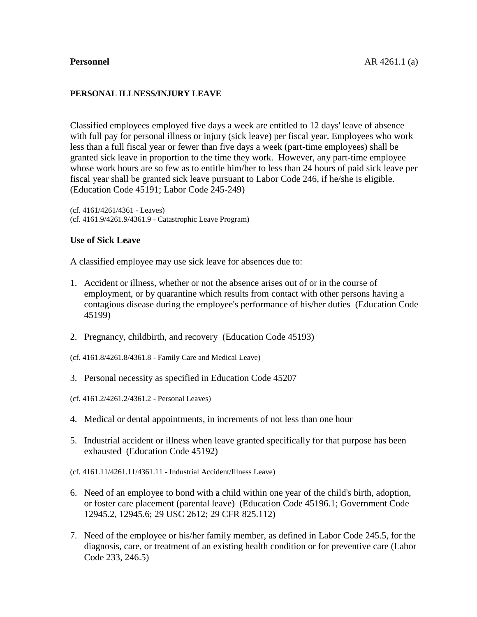#### **PERSONAL ILLNESS/INJURY LEAVE**

Classified employees employed five days a week are entitled to 12 days' leave of absence with full pay for personal illness or injury (sick leave) per fiscal year. Employees who work less than a full fiscal year or fewer than five days a week (part-time employees) shall be granted sick leave in proportion to the time they work. However, any part-time employee whose work hours are so few as to entitle him/her to less than 24 hours of paid sick leave per fiscal year shall be granted sick leave pursuant to Labor Code 246, if he/she is eligible. (Education Code 45191; Labor Code 245-249)

(cf. 4161/4261/4361 - Leaves) (cf. 4161.9/4261.9/4361.9 - Catastrophic Leave Program)

## **Use of Sick Leave**

A classified employee may use sick leave for absences due to:

- 1. Accident or illness, whether or not the absence arises out of or in the course of employment, or by quarantine which results from contact with other persons having a contagious disease during the employee's performance of his/her duties (Education Code 45199)
- 2. Pregnancy, childbirth, and recovery (Education Code 45193)
- (cf. 4161.8/4261.8/4361.8 Family Care and Medical Leave)
- 3. Personal necessity as specified in Education Code 45207
- (cf. 4161.2/4261.2/4361.2 Personal Leaves)
- 4. Medical or dental appointments, in increments of not less than one hour
- 5. Industrial accident or illness when leave granted specifically for that purpose has been exhausted (Education Code 45192)
- (cf. 4161.11/4261.11/4361.11 Industrial Accident/Illness Leave)
- 6. Need of an employee to bond with a child within one year of the child's birth, adoption, or foster care placement (parental leave) (Education Code 45196.1; Government Code 12945.2, 12945.6; 29 USC 2612; 29 CFR 825.112)
- 7. Need of the employee or his/her family member, as defined in Labor Code 245.5, for the diagnosis, care, or treatment of an existing health condition or for preventive care (Labor Code 233, 246.5)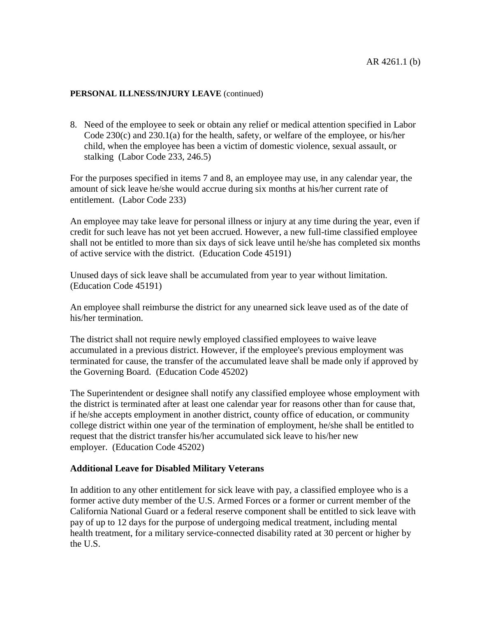8. Need of the employee to seek or obtain any relief or medical attention specified in Labor Code 230(c) and 230.1(a) for the health, safety, or welfare of the employee, or his/her child, when the employee has been a victim of domestic violence, sexual assault, or stalking (Labor Code 233, 246.5)

For the purposes specified in items 7 and 8, an employee may use, in any calendar year, the amount of sick leave he/she would accrue during six months at his/her current rate of entitlement. (Labor Code 233)

An employee may take leave for personal illness or injury at any time during the year, even if credit for such leave has not yet been accrued. However, a new full-time classified employee shall not be entitled to more than six days of sick leave until he/she has completed six months of active service with the district. (Education Code 45191)

Unused days of sick leave shall be accumulated from year to year without limitation. (Education Code 45191)

An employee shall reimburse the district for any unearned sick leave used as of the date of his/her termination.

The district shall not require newly employed classified employees to waive leave accumulated in a previous district. However, if the employee's previous employment was terminated for cause, the transfer of the accumulated leave shall be made only if approved by the Governing Board. (Education Code 45202)

The Superintendent or designee shall notify any classified employee whose employment with the district is terminated after at least one calendar year for reasons other than for cause that, if he/she accepts employment in another district, county office of education, or community college district within one year of the termination of employment, he/she shall be entitled to request that the district transfer his/her accumulated sick leave to his/her new employer. (Education Code 45202)

# **Additional Leave for Disabled Military Veterans**

In addition to any other entitlement for sick leave with pay, a classified employee who is a former active duty member of the U.S. Armed Forces or a former or current member of the California National Guard or a federal reserve component shall be entitled to sick leave with pay of up to 12 days for the purpose of undergoing medical treatment, including mental health treatment, for a military service-connected disability rated at 30 percent or higher by the U.S.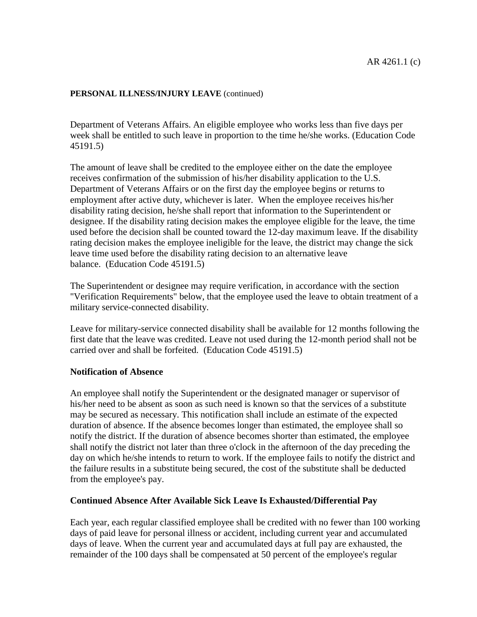Department of Veterans Affairs. An eligible employee who works less than five days per week shall be entitled to such leave in proportion to the time he/she works. (Education Code 45191.5)

The amount of leave shall be credited to the employee either on the date the employee receives confirmation of the submission of his/her disability application to the U.S. Department of Veterans Affairs or on the first day the employee begins or returns to employment after active duty, whichever is later. When the employee receives his/her disability rating decision, he/she shall report that information to the Superintendent or designee. If the disability rating decision makes the employee eligible for the leave, the time used before the decision shall be counted toward the 12-day maximum leave. If the disability rating decision makes the employee ineligible for the leave, the district may change the sick leave time used before the disability rating decision to an alternative leave balance. (Education Code 45191.5)

The Superintendent or designee may require verification, in accordance with the section "Verification Requirements" below, that the employee used the leave to obtain treatment of a military service-connected disability.

Leave for military-service connected disability shall be available for 12 months following the first date that the leave was credited. Leave not used during the 12-month period shall not be carried over and shall be forfeited. (Education Code 45191.5)

# **Notification of Absence**

An employee shall notify the Superintendent or the designated manager or supervisor of his/her need to be absent as soon as such need is known so that the services of a substitute may be secured as necessary. This notification shall include an estimate of the expected duration of absence. If the absence becomes longer than estimated, the employee shall so notify the district. If the duration of absence becomes shorter than estimated, the employee shall notify the district not later than three o'clock in the afternoon of the day preceding the day on which he/she intends to return to work. If the employee fails to notify the district and the failure results in a substitute being secured, the cost of the substitute shall be deducted from the employee's pay.

#### **Continued Absence After Available Sick Leave Is Exhausted/Differential Pay**

Each year, each regular classified employee shall be credited with no fewer than 100 working days of paid leave for personal illness or accident, including current year and accumulated days of leave. When the current year and accumulated days at full pay are exhausted, the remainder of the 100 days shall be compensated at 50 percent of the employee's regular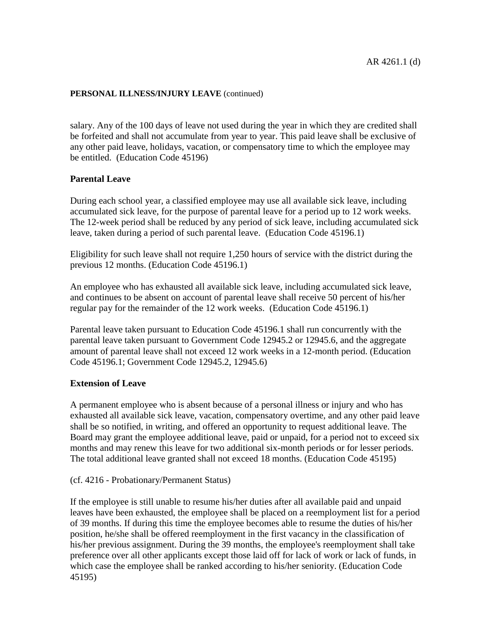salary. Any of the 100 days of leave not used during the year in which they are credited shall be forfeited and shall not accumulate from year to year. This paid leave shall be exclusive of any other paid leave, holidays, vacation, or compensatory time to which the employee may be entitled. (Education Code 45196)

# **Parental Leave**

During each school year, a classified employee may use all available sick leave, including accumulated sick leave, for the purpose of parental leave for a period up to 12 work weeks. The 12-week period shall be reduced by any period of sick leave, including accumulated sick leave, taken during a period of such parental leave. (Education Code 45196.1)

Eligibility for such leave shall not require 1,250 hours of service with the district during the previous 12 months. (Education Code 45196.1)

An employee who has exhausted all available sick leave, including accumulated sick leave, and continues to be absent on account of parental leave shall receive 50 percent of his/her regular pay for the remainder of the 12 work weeks. (Education Code 45196.1)

Parental leave taken pursuant to Education Code 45196.1 shall run concurrently with the parental leave taken pursuant to Government Code 12945.2 or 12945.6, and the aggregate amount of parental leave shall not exceed 12 work weeks in a 12-month period. (Education Code 45196.1; Government Code 12945.2, 12945.6)

# **Extension of Leave**

A permanent employee who is absent because of a personal illness or injury and who has exhausted all available sick leave, vacation, compensatory overtime, and any other paid leave shall be so notified, in writing, and offered an opportunity to request additional leave. The Board may grant the employee additional leave, paid or unpaid, for a period not to exceed six months and may renew this leave for two additional six-month periods or for lesser periods. The total additional leave granted shall not exceed 18 months. (Education Code 45195)

# (cf. 4216 - Probationary/Permanent Status)

If the employee is still unable to resume his/her duties after all available paid and unpaid leaves have been exhausted, the employee shall be placed on a reemployment list for a period of 39 months. If during this time the employee becomes able to resume the duties of his/her position, he/she shall be offered reemployment in the first vacancy in the classification of his/her previous assignment. During the 39 months, the employee's reemployment shall take preference over all other applicants except those laid off for lack of work or lack of funds, in which case the employee shall be ranked according to his/her seniority. (Education Code 45195)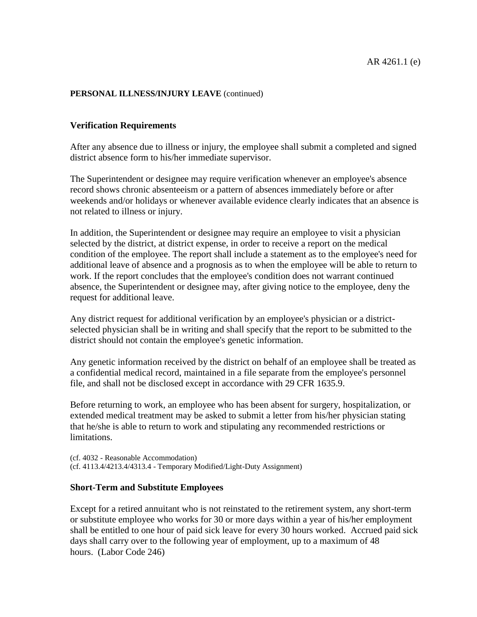## **Verification Requirements**

After any absence due to illness or injury, the employee shall submit a completed and signed district absence form to his/her immediate supervisor.

The Superintendent or designee may require verification whenever an employee's absence record shows chronic absenteeism or a pattern of absences immediately before or after weekends and/or holidays or whenever available evidence clearly indicates that an absence is not related to illness or injury.

In addition, the Superintendent or designee may require an employee to visit a physician selected by the district, at district expense, in order to receive a report on the medical condition of the employee. The report shall include a statement as to the employee's need for additional leave of absence and a prognosis as to when the employee will be able to return to work. If the report concludes that the employee's condition does not warrant continued absence, the Superintendent or designee may, after giving notice to the employee, deny the request for additional leave.

Any district request for additional verification by an employee's physician or a districtselected physician shall be in writing and shall specify that the report to be submitted to the district should not contain the employee's genetic information.

Any genetic information received by the district on behalf of an employee shall be treated as a confidential medical record, maintained in a file separate from the employee's personnel file, and shall not be disclosed except in accordance with 29 CFR 1635.9.

Before returning to work, an employee who has been absent for surgery, hospitalization, or extended medical treatment may be asked to submit a letter from his/her physician stating that he/she is able to return to work and stipulating any recommended restrictions or limitations.

(cf. 4032 - Reasonable Accommodation) (cf. 4113.4/4213.4/4313.4 - Temporary Modified/Light-Duty Assignment)

#### **Short-Term and Substitute Employees**

Except for a retired annuitant who is not reinstated to the retirement system, any short-term or substitute employee who works for 30 or more days within a year of his/her employment shall be entitled to one hour of paid sick leave for every 30 hours worked. Accrued paid sick days shall carry over to the following year of employment, up to a maximum of 48 hours. (Labor Code 246)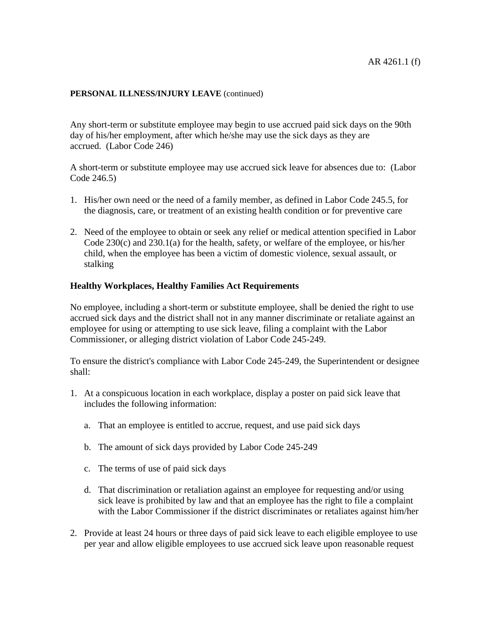Any short-term or substitute employee may begin to use accrued paid sick days on the 90th day of his/her employment, after which he/she may use the sick days as they are accrued. (Labor Code 246)

A short-term or substitute employee may use accrued sick leave for absences due to: (Labor Code 246.5)

- 1. His/her own need or the need of a family member, as defined in Labor Code 245.5, for the diagnosis, care, or treatment of an existing health condition or for preventive care
- 2. Need of the employee to obtain or seek any relief or medical attention specified in Labor Code 230(c) and 230.1(a) for the health, safety, or welfare of the employee, or his/her child, when the employee has been a victim of domestic violence, sexual assault, or stalking

# **Healthy Workplaces, Healthy Families Act Requirements**

No employee, including a short-term or substitute employee, shall be denied the right to use accrued sick days and the district shall not in any manner discriminate or retaliate against an employee for using or attempting to use sick leave, filing a complaint with the Labor Commissioner, or alleging district violation of Labor Code 245-249.

To ensure the district's compliance with Labor Code 245-249, the Superintendent or designee shall:

- 1. At a conspicuous location in each workplace, display a poster on paid sick leave that includes the following information:
	- a. That an employee is entitled to accrue, request, and use paid sick days
	- b. The amount of sick days provided by Labor Code 245-249
	- c. The terms of use of paid sick days
	- d. That discrimination or retaliation against an employee for requesting and/or using sick leave is prohibited by law and that an employee has the right to file a complaint with the Labor Commissioner if the district discriminates or retaliates against him/her
- 2. Provide at least 24 hours or three days of paid sick leave to each eligible employee to use per year and allow eligible employees to use accrued sick leave upon reasonable request